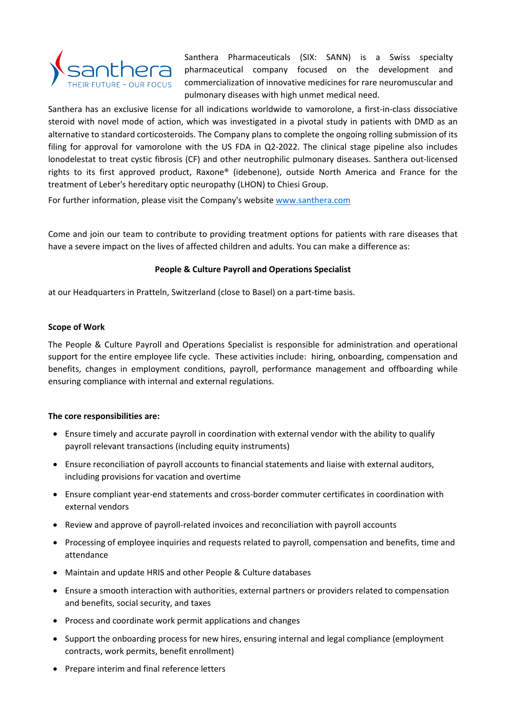

Santhera Pharmaceuticals (SIX: SANN) is a Swiss specialty pharmaceutical company focused on the development and commercialization of innovative medicines for rare neuromuscular and pulmonary diseases with high unmet medical need.

Santhera has an exclusive license for all indications worldwide to vamorolone, a first-in-class dissociative steroid with novel mode of action, which was investigated in a pivotal study in patients with DMD as an alternative to standard corticosteroids. The Company plans to complete the ongoing rolling submission of its filing for approval for vamorolone with the US FDA in Q2-2022. The clinical stage pipeline also includes lonodelestat to treat cystic fibrosis (CF) and other neutrophilic pulmonary diseases. Santhera out-licensed rights to its first approved product, Raxone® (idebenone), outside North America and France for the treatment of Leber's hereditary optic neuropathy (LHON) to Chiesi Group.

For further information, please visit the Company's website [www.santhera.com](http://www.santhera.com/)

Come and join our team to contribute to providing treatment options for patients with rare diseases that have a severe impact on the lives of affected children and adults. You can make a difference as:

# **People & Culture Payroll and Operations Specialist**

at our Headquarters in Pratteln, Switzerland (close to Basel) on a part-time basis.

# **Scope of Work**

The People & Culture Payroll and Operations Specialist is responsible for administration and operational support for the entire employee life cycle. These activities include: hiring, onboarding, compensation and benefits, changes in employment conditions, payroll, performance management and offboarding while ensuring compliance with internal and external regulations.

## **The core responsibilities are:**

- Ensure timely and accurate payroll in coordination with external vendor with the ability to qualify payroll relevant transactions (including equity instruments)
- Ensure reconciliation of payroll accounts to financial statements and liaise with external auditors, including provisions for vacation and overtime
- Ensure compliant year-end statements and cross-border commuter certificates in coordination with external vendors
- Review and approve of payroll-related invoices and reconciliation with payroll accounts
- Processing of employee inquiries and requests related to payroll, compensation and benefits, time and attendance
- Maintain and update HRIS and other People & Culture databases
- Ensure a smooth interaction with authorities, external partners or providers related to compensation and benefits, social security, and taxes
- Process and coordinate work permit applications and changes
- Support the onboarding process for new hires, ensuring internal and legal compliance (employment contracts, work permits, benefit enrollment)
- Prepare interim and final reference letters